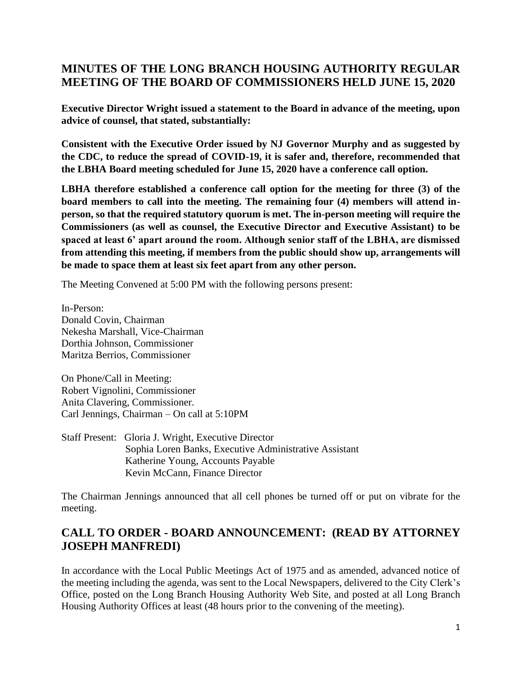# **MINUTES OF THE LONG BRANCH HOUSING AUTHORITY REGULAR MEETING OF THE BOARD OF COMMISSIONERS HELD JUNE 15, 2020**

**Executive Director Wright issued a statement to the Board in advance of the meeting, upon advice of counsel, that stated, substantially:** 

**Consistent with the Executive Order issued by NJ Governor Murphy and as suggested by the CDC, to reduce the spread of COVID-19, it is safer and, therefore, recommended that the LBHA Board meeting scheduled for June 15, 2020 have a conference call option.**

**LBHA therefore established a conference call option for the meeting for three (3) of the board members to call into the meeting. The remaining four (4) members will attend inperson, so that the required statutory quorum is met. The in-person meeting will require the Commissioners (as well as counsel, the Executive Director and Executive Assistant) to be spaced at least 6' apart around the room. Although senior staff of the LBHA, are dismissed from attending this meeting, if members from the public should show up, arrangements will be made to space them at least six feet apart from any other person.**

The Meeting Convened at 5:00 PM with the following persons present:

In-Person: Donald Covin, Chairman Nekesha Marshall, Vice-Chairman Dorthia Johnson, Commissioner Maritza Berrios, Commissioner

On Phone/Call in Meeting: Robert Vignolini, Commissioner Anita Clavering, Commissioner. Carl Jennings, Chairman – On call at 5:10PM

Staff Present: Gloria J. Wright, Executive Director Sophia Loren Banks, Executive Administrative Assistant Katherine Young, Accounts Payable Kevin McCann, Finance Director

The Chairman Jennings announced that all cell phones be turned off or put on vibrate for the meeting.

# **CALL TO ORDER - BOARD ANNOUNCEMENT: (READ BY ATTORNEY JOSEPH MANFREDI)**

In accordance with the Local Public Meetings Act of 1975 and as amended, advanced notice of the meeting including the agenda, was sent to the Local Newspapers, delivered to the City Clerk's Office, posted on the Long Branch Housing Authority Web Site, and posted at all Long Branch Housing Authority Offices at least (48 hours prior to the convening of the meeting).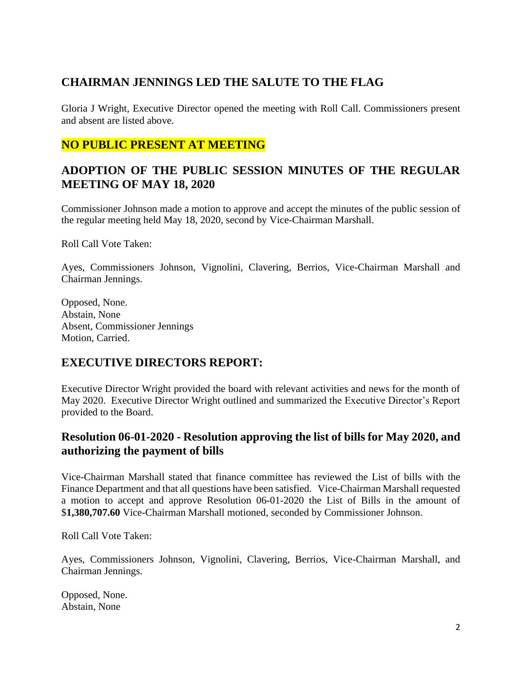# **CHAIRMAN JENNINGS LED THE SALUTE TO THE FLAG**

Gloria J Wright, Executive Director opened the meeting with Roll Call. Commissioners present and absent are listed above.

## **NO PUBLIC PRESENT AT MEETING**

## **ADOPTION OF THE PUBLIC SESSION MINUTES OF THE REGULAR MEETING OF MAY 18, 2020**

Commissioner Johnson made a motion to approve and accept the minutes of the public session of the regular meeting held May 18, 2020, second by Vice-Chairman Marshall.

Roll Call Vote Taken:

Ayes, Commissioners Johnson, Vignolini, Clavering, Berrios, Vice-Chairman Marshall and Chairman Jennings.

Opposed, None. Abstain, None Absent, Commissioner Jennings Motion, Carried.

## **EXECUTIVE DIRECTORS REPORT:**

Executive Director Wright provided the board with relevant activities and news for the month of May 2020. Executive Director Wright outlined and summarized the Executive Director's Report provided to the Board.

## **Resolution 06-01-2020 - Resolution approving the list of bills for May 2020, and authorizing the payment of bills**

Vice-Chairman Marshall stated that finance committee has reviewed the List of bills with the Finance Department and that all questions have been satisfied. Vice-Chairman Marshall requested a motion to accept and approve Resolution 06-01-2020 the List of Bills in the amount of \$**1,380,707.60** Vice-Chairman Marshall motioned, seconded by Commissioner Johnson.

Roll Call Vote Taken:

Ayes, Commissioners Johnson, Vignolini, Clavering, Berrios, Vice-Chairman Marshall, and Chairman Jennings.

Opposed, None. Abstain, None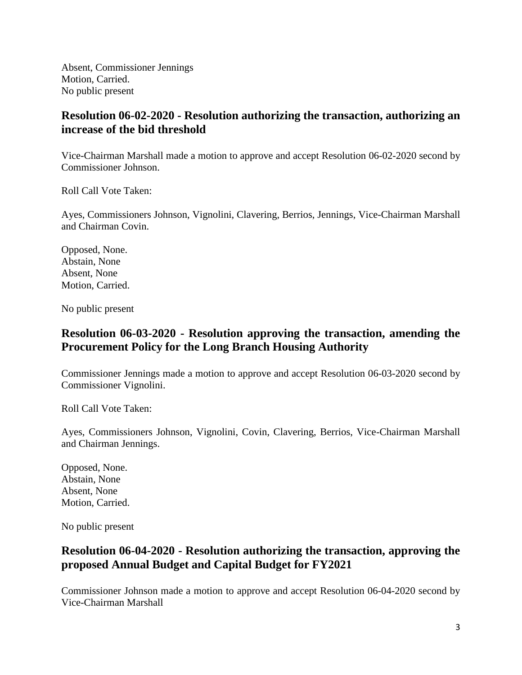Absent, Commissioner Jennings Motion, Carried. No public present

## **Resolution 06-02-2020 - Resolution authorizing the transaction, authorizing an increase of the bid threshold**

Vice-Chairman Marshall made a motion to approve and accept Resolution 06-02-2020 second by Commissioner Johnson.

Roll Call Vote Taken:

Ayes, Commissioners Johnson, Vignolini, Clavering, Berrios, Jennings, Vice-Chairman Marshall and Chairman Covin.

Opposed, None. Abstain, None Absent, None Motion, Carried.

No public present

## **Resolution 06-03-2020 - Resolution approving the transaction, amending the Procurement Policy for the Long Branch Housing Authority**

Commissioner Jennings made a motion to approve and accept Resolution 06-03-2020 second by Commissioner Vignolini.

Roll Call Vote Taken:

Ayes, Commissioners Johnson, Vignolini, Covin, Clavering, Berrios, Vice-Chairman Marshall and Chairman Jennings.

Opposed, None. Abstain, None Absent, None Motion, Carried.

No public present

## **Resolution 06-04-2020 - Resolution authorizing the transaction, approving the proposed Annual Budget and Capital Budget for FY2021**

Commissioner Johnson made a motion to approve and accept Resolution 06-04-2020 second by Vice-Chairman Marshall